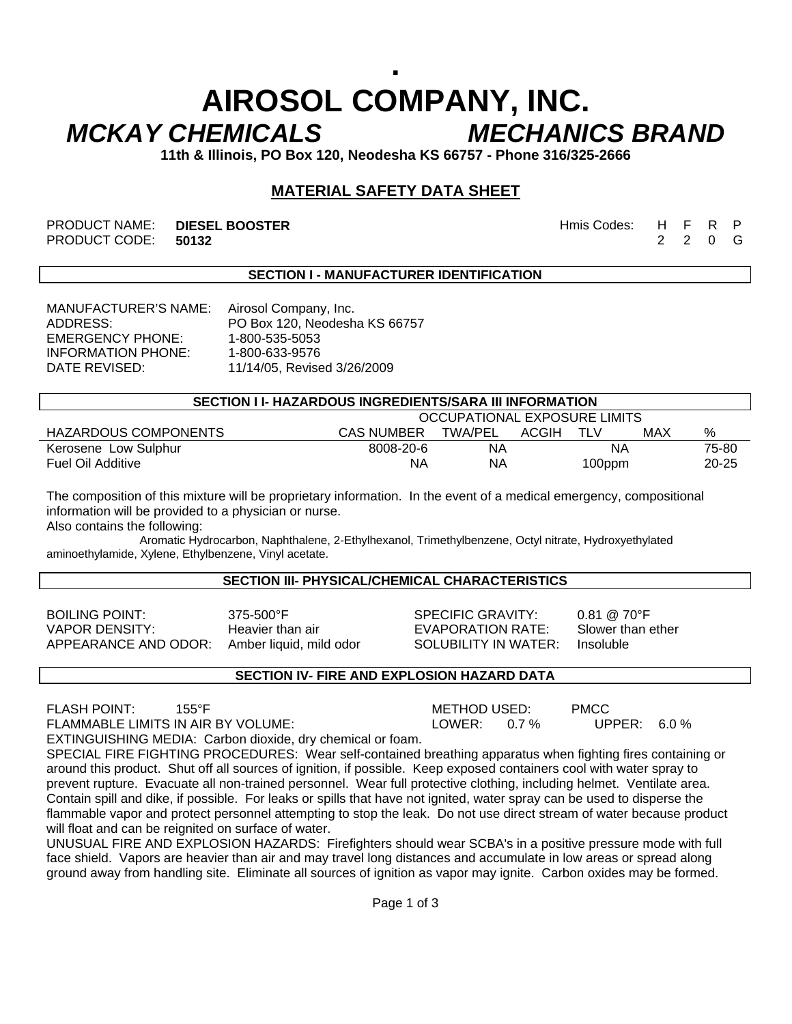# **. AIROSOL COMPANY, INC.**  *MCKAY CHEMICALS MECHANICS BRAND*

**11th & Illinois, PO Box 120, Neodesha KS 66757 - Phone 316/325-2666** 

## **MATERIAL SAFETY DATA SHEET**

PRODUCT NAME: **DIESEL BOOSTER** And the second term of the Hmis Codes: H F R P PRODUCT CODE: **50132** 2 2 0 G

### **SECTION I - MANUFACTURER IDENTIFICATION**

MANUFACTURER'S NAME: Airosol Company, Inc. EMERGENCY PHONE: 1-800-535-5053 INFORMATION PHONE: 1-800-633-9576

ADDRESS: PO Box 120, Neodesha KS 66757 DATE REVISED: 11/14/05, Revised 3/26/2009

| SECTION I I- HAZARDOUS INGREDIENTS/SARA III INFORMATION |                              |                |       |        |       |           |  |  |  |
|---------------------------------------------------------|------------------------------|----------------|-------|--------|-------|-----------|--|--|--|
|                                                         | OCCUPATIONAL EXPOSURE LIMITS |                |       |        |       |           |  |  |  |
| HAZARDOUS COMPONENTS                                    | CAS NUMBER                   | <b>TWA/PEL</b> | ACGIH | TLV    | MAX   | %         |  |  |  |
| Kerosene Low Sulphur                                    | 8008-20-6                    | ΝA             | ΝA    |        | 75-80 |           |  |  |  |
| Fuel Oil Additive                                       | ΝA                           | ΝA             |       | 100ppm |       | $20 - 25$ |  |  |  |

The composition of this mixture will be proprietary information. In the event of a medical emergency, compositional information will be provided to a physician or nurse.

Also contains the following:

 Aromatic Hydrocarbon, Naphthalene, 2-Ethylhexanol, Trimethylbenzene, Octyl nitrate, Hydroxyethylated aminoethylamide, Xylene, Ethylbenzene, Vinyl acetate.

#### **SECTION III- PHYSICAL/CHEMICAL CHARACTERISTICS**

VAPOR DENSITY: Heavier than air EVAPORATION RATE: Slower than ether APPEARANCE AND ODOR: Amber liquid, mild odor SOLUBILITY IN WATER: Insoluble

BOILING POINT: 375-500°F SPECIFIC GRAVITY: 0.81 @ 70°F

### **SECTION IV- FIRE AND EXPLOSION HAZARD DATA**

FLASH POINT: 155°F METHOD USED: PMCC

FLAMMABLE LIMITS IN AIR BY VOLUME: LARTER: LOWER: 0.7 % UPPER: 6.0 %

EXTINGUISHING MEDIA: Carbon dioxide, dry chemical or foam. SPECIAL FIRE FIGHTING PROCEDURES: Wear self-contained breathing apparatus when fighting fires containing or around this product. Shut off all sources of ignition, if possible. Keep exposed containers cool with water spray to prevent rupture. Evacuate all non-trained personnel. Wear full protective clothing, including helmet. Ventilate area. Contain spill and dike, if possible. For leaks or spills that have not ignited, water spray can be used to disperse the flammable vapor and protect personnel attempting to stop the leak. Do not use direct stream of water because product will float and can be reignited on surface of water.

UNUSUAL FIRE AND EXPLOSION HAZARDS: Firefighters should wear SCBA's in a positive pressure mode with full face shield. Vapors are heavier than air and may travel long distances and accumulate in low areas or spread along ground away from handling site. Eliminate all sources of ignition as vapor may ignite. Carbon oxides may be formed.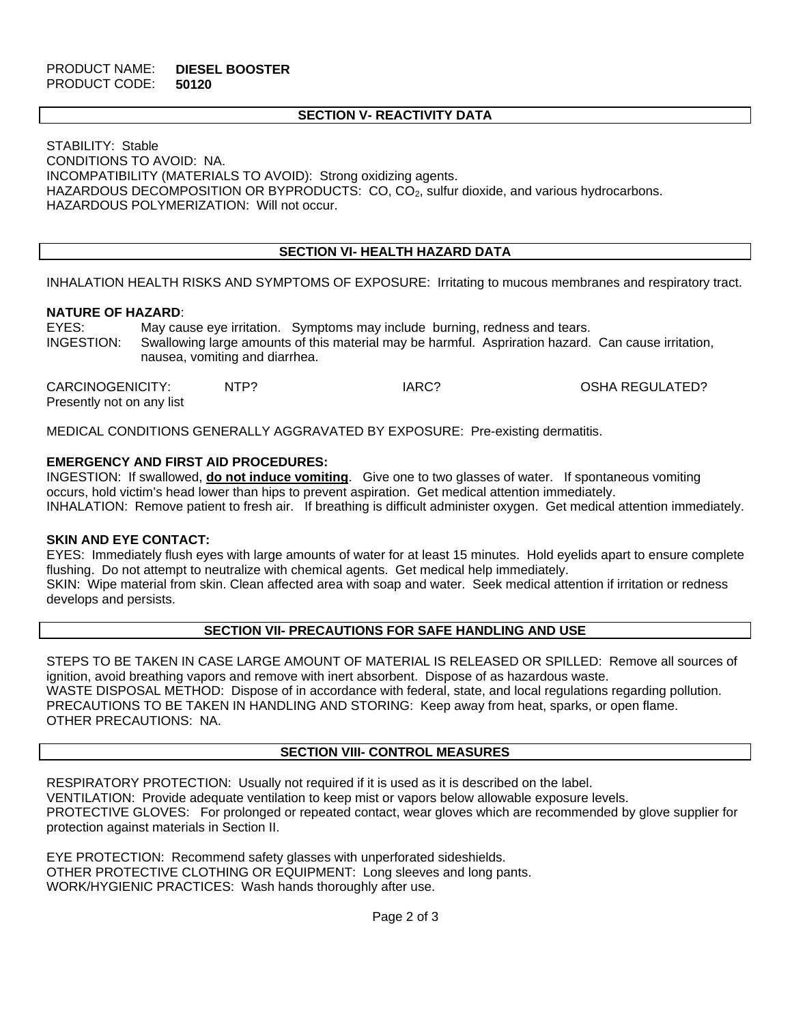#### PRODUCT NAME: **DIESEL BOOSTER**  PRODUCT CODE: **50120**

#### **SECTION V- REACTIVITY DATA**

STABILITY: Stable CONDITIONS TO AVOID: NA. INCOMPATIBILITY (MATERIALS TO AVOID): Strong oxidizing agents. HAZARDOUS DECOMPOSITION OR BYPRODUCTS: CO, CO<sub>2</sub>, sulfur dioxide, and various hydrocarbons. HAZARDOUS POLYMERIZATION: Will not occur.

### **SECTION VI- HEALTH HAZARD DATA**

INHALATION HEALTH RISKS AND SYMPTOMS OF EXPOSURE: Irritating to mucous membranes and respiratory tract.

#### **NATURE OF HAZARD**:

EYES: May cause eye irritation. Symptoms may include burning, redness and tears. INGESTION: Swallowing large amounts of this material may be harmful. Aspriration hazard. Can cause irritation, nausea, vomiting and diarrhea.

| CARCINOGENICITY:          | NTP? | IARC? | OSHA REGULATED? |
|---------------------------|------|-------|-----------------|
| Presently not on any list |      |       |                 |

MEDICAL CONDITIONS GENERALLY AGGRAVATED BY EXPOSURE: Pre-existing dermatitis.

#### **EMERGENCY AND FIRST AID PROCEDURES:**

INGESTION: If swallowed, **do not induce vomiting**. Give one to two glasses of water. If spontaneous vomiting occurs, hold victim's head lower than hips to prevent aspiration. Get medical attention immediately. INHALATION: Remove patient to fresh air. If breathing is difficult administer oxygen. Get medical attention immediately.

#### **SKIN AND EYE CONTACT:**

EYES: Immediately flush eyes with large amounts of water for at least 15 minutes. Hold eyelids apart to ensure complete flushing. Do not attempt to neutralize with chemical agents. Get medical help immediately. SKIN: Wipe material from skin. Clean affected area with soap and water. Seek medical attention if irritation or redness develops and persists.

#### **SECTION VII- PRECAUTIONS FOR SAFE HANDLING AND USE**

STEPS TO BE TAKEN IN CASE LARGE AMOUNT OF MATERIAL IS RELEASED OR SPILLED: Remove all sources of ignition, avoid breathing vapors and remove with inert absorbent. Dispose of as hazardous waste. WASTE DISPOSAL METHOD: Dispose of in accordance with federal, state, and local regulations regarding pollution. PRECAUTIONS TO BE TAKEN IN HANDLING AND STORING: Keep away from heat, sparks, or open flame. OTHER PRECAUTIONS: NA.

#### **SECTION VIII- CONTROL MEASURES**

RESPIRATORY PROTECTION: Usually not required if it is used as it is described on the label. VENTILATION: Provide adequate ventilation to keep mist or vapors below allowable exposure levels. PROTECTIVE GLOVES: For prolonged or repeated contact, wear gloves which are recommended by glove supplier for protection against materials in Section II.

EYE PROTECTION: Recommend safety glasses with unperforated sideshields. OTHER PROTECTIVE CLOTHING OR EQUIPMENT: Long sleeves and long pants. WORK/HYGIENIC PRACTICES: Wash hands thoroughly after use.